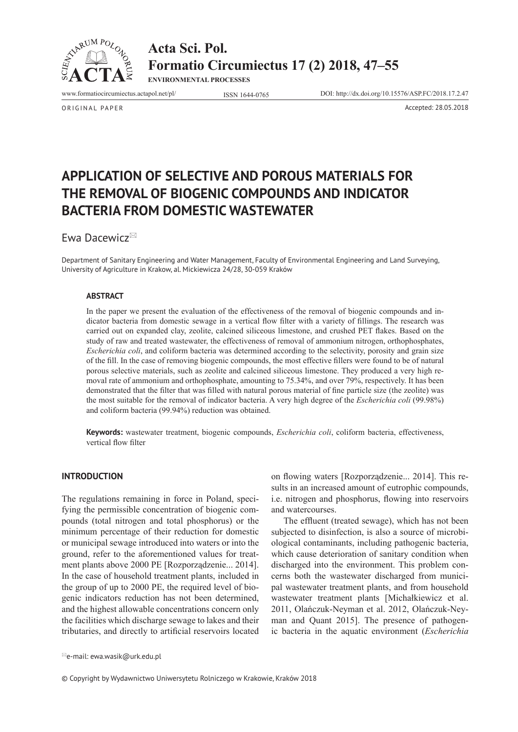

**Acta Sci. Pol. Formatio Circumiectus 17 (2) 2018, 47–55**

**ENVIRONMENTAL PROCESSES**

www.formatiocircumiectus.actapol.net/pl/ ISSN 1644-0765 DOI: http://dx.doi.org/10.15576/ASP.FC/2018.17.2.47

ORIGINAL PAPER Accepted: 28.05.2018

**APPLICATION OF SELECTIVE AND POROUS MATERIALS FOR THE REMOVAL OF BIOGENIC COMPOUNDS AND INDICATOR BACTERIA FROM DOMESTIC WASTEWATER** 

Ewa Dacewicz

Department of Sanitary Engineering and Water Management, Faculty of Environmental Engineering and Land Surveying, University of Agriculture in Krakow, al. Mickiewicza 24/28, 30-059 Kraków

### **ABSTRACT**

In the paper we present the evaluation of the effectiveness of the removal of biogenic compounds and indicator bacteria from domestic sewage in a vertical flow filter with a variety of fillings. The research was carried out on expanded clay, zeolite, calcined siliceous limestone, and crushed PET flakes. Based on the study of raw and treated wastewater, the effectiveness of removal of ammonium nitrogen, orthophosphates, *Escherichia coli*, and coliform bacteria was determined according to the selectivity, porosity and grain size of the fill. In the case of removing biogenic compounds, the most effective fillers were found to be of natural porous selective materials, such as zeolite and calcined siliceous limestone. They produced a very high removal rate of ammonium and orthophosphate, amounting to 75.34%, and over 79%, respectively. It has been demonstrated that the filter that was filled with natural porous material of fine particle size (the zeolite) was the most suitable for the removal of indicator bacteria. A very high degree of the *Escherichia coli* (99.98%) and coliform bacteria (99.94%) reduction was obtained.

**Keywords:** wastewater treatment, biogenic compounds, *Escherichia coli*, coliform bacteria, effectiveness, vertical flow filter

### **INTRODUCTION**

The regulations remaining in force in Poland, specifying the permissible concentration of biogenic compounds (total nitrogen and total phosphorus) or the minimum percentage of their reduction for domestic or municipal sewage introduced into waters or into the ground, refer to the aforementioned values for treatment plants above 2000 PE [Rozporządzenie... 2014]. In the case of household treatment plants, included in the group of up to 2000 PE, the required level of biogenic indicators reduction has not been determined, and the highest allowable concentrations concern only the facilities which discharge sewage to lakes and their tributaries, and directly to artificial reservoirs located

on flowing waters [Rozporządzenie... 2014]. This results in an increased amount of eutrophic compounds, i.e. nitrogen and phosphorus, flowing into reservoirs and watercourses.

The effluent (treated sewage), which has not been subjected to disinfection, is also a source of microbiological contaminants, including pathogenic bacteria, which cause deterioration of sanitary condition when discharged into the environment. This problem concerns both the wastewater discharged from municipal wastewater treatment plants, and from household wastewater treatment plants [Michałkiewicz et al. 2011, Olańczuk-Neyman et al. 2012, Olańczuk-Neyman and Quant 2015]. The presence of pathogenic bacteria in the aquatic environment (*Escherichia* 

© Copyright by Wydawnictwo Uniwersytetu Rolniczego w Krakowie, Kraków 2018

 $\cong$ e-mail: ewa.wasik@urk.edu.pl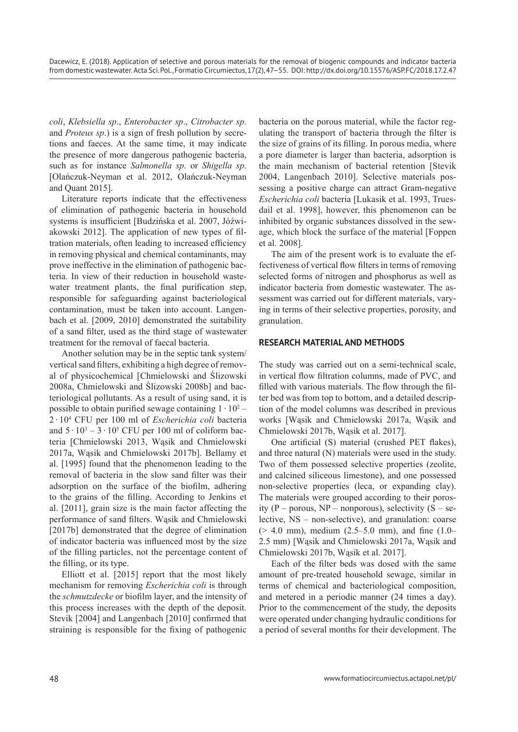*coli*, *Klebsiella sp*., *Enterobacter sp*., *Citrobacter sp*. and *Proteus sp*.) is a sign of fresh pollution by secretions and faeces. At the same time, it may indicate the presence of more dangerous pathogenic bacteria, such as for instance *Salmonella sp*. or *Shigella sp*. [Olańczuk-Neyman et al. 2012, Olańczuk-Neyman and Quant 2015].

Literature reports indicate that the effectiveness of elimination of pathogenic bacteria in household systems is insufficient [Budzińska et al. 2007, Jóźwiakowski 2012]. The application of new types of filtration materials, often leading to increased efficiency in removing physical and chemical contaminants, may prove ineffective in the elimination of pathogenic bacteria. In view of their reduction in household wastewater treatment plants, the final purification step, responsible for safeguarding against bacteriological contamination, must be taken into account. Langenbach et al. [2009, 2010] demonstrated the suitability of a sand filter, used as the third stage of wastewater treatment for the removal of faecal bacteria.

Another solution may be in the septic tank system/ vertical sand filters, exhibiting a high degree of removal of physicochemical [Chmielowski and Ślizowski 2008a, Chmielowski and Ślizowski 2008b] and bacteriological pollutants. As a result of using sand, it is possible to obtain purified sewage containing  $1 \cdot 10^2$  – 2 · 10<sup>4</sup> CFU per 100 ml of *Escherichia coli* bacteria and  $5 \cdot 10^3 - 3 \cdot 10^5$  CFU per 100 ml of coliform bacteria [Chmielowski 2013, Wąsik and Chmielowski 2017a, Wąsik and Chmielowski 2017b]. Bellamy et al. [1995] found that the phenomenon leading to the removal of bacteria in the slow sand filter was their adsorption on the surface of the biofilm, adhering to the grains of the filling. According to Jenkins et al. [2011], grain size is the main factor affecting the performance of sand filters. Wąsik and Chmielowski [2017b] demonstrated that the degree of elimination of indicator bacteria was influenced most by the size of the filling particles, not the percentage content of the filling, or its type.

Elliott et al. [2015] report that the most likely mechanism for removing *Escherichia coli* is through the *schmutzdecke* or biofilm layer, and the intensity of this process increases with the depth of the deposit. Stevik [2004] and Langenbach [2010] confirmed that straining is responsible for the fixing of pathogenic

bacteria on the porous material, while the factor regulating the transport of bacteria through the filter is the size of grains of its filling. In porous media, where a pore diameter is larger than bacteria, adsorption is the main mechanism of bacterial retention [Stevik 2004, Langenbach 2010]. Selective materials possessing a positive charge can attract Gram-negative *Escherichia coli* bacteria [Lukasik et al. 1993, Truesdail et al. 1998], however, this phenomenon can be inhibited by organic substances dissolved in the sewage, which block the surface of the material [Foppen et al. 2008].

The aim of the present work is to evaluate the effectiveness of vertical flow filters in terms of removing selected forms of nitrogen and phosphorus as well as indicator bacteria from domestic wastewater. The assessment was carried out for different materials, varying in terms of their selective properties, porosity, and granulation.

## **RESEARCH MATERIAL AND METHODS**

The study was carried out on a semi-technical scale, in vertical flow filtration columns, made of PVC, and filled with various materials. The flow through the filter bed was from top to bottom, and a detailed description of the model columns was described in previous works [Wąsik and Chmielowski 2017a, Wąsik and Chmielowski 2017b, Wąsik et al. 2017].

One artificial (S) material (crushed PET flakes), and three natural (N) materials were used in the study. Two of them possessed selective properties (zeolite, and calcined siliceous limestone), and one possessed non-selective properties (leca, or expanding clay). The materials were grouped according to their porosity (P – porous,  $NP$  – nonporous), selectivity (S – selective, NS – non-selective), and granulation: coarse  $(> 4.0 \text{ mm})$ , medium  $(2.5-5.0 \text{ mm})$ , and fine  $(1.0-$ 2.5 mm) [Wąsik and Chmielowski 2017a, Wąsik and Chmielowski 2017b, Wąsik et al. 2017].

Each of the filter beds was dosed with the same amount of pre-treated household sewage, similar in terms of chemical and bacteriological composition, and metered in a periodic manner (24 times a day). Prior to the commencement of the study, the deposits were operated under changing hydraulic conditions for a period of several months for their development. The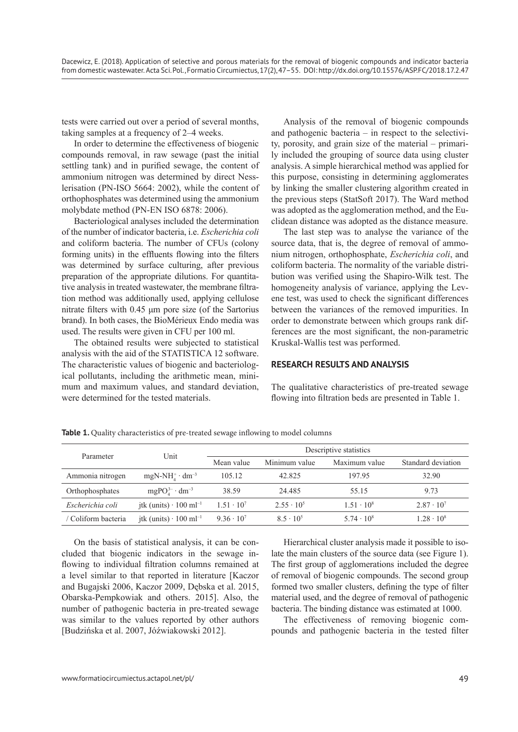tests were carried out over a period of several months, taking samples at a frequency of 2–4 weeks.

In order to determine the effectiveness of biogenic compounds removal, in raw sewage (past the initial settling tank) and in purified sewage, the content of ammonium nitrogen was determined by direct Nesslerisation (PN-ISO 5664: 2002), while the content of orthophosphates was determined using the ammonium molybdate method (PN-EN ISO 6878: 2006).

Bacteriological analyses included the determination of the number of indicator bacteria, i.e. *Escherichia coli* and coliform bacteria. The number of CFUs (colony forming units) in the effluents flowing into the filters was determined by surface culturing, after previous preparation of the appropriate dilutions. For quantitative analysis in treated wastewater, the membrane filtration method was additionally used, applying cellulose nitrate filters with 0.45 μm pore size (of the Sartorius brand). In both cases, the BioMérieux Endo media was used. The results were given in CFU per 100 ml.

The obtained results were subjected to statistical analysis with the aid of the STATISTICA 12 software. The characteristic values of biogenic and bacteriological pollutants, including the arithmetic mean, minimum and maximum values, and standard deviation, were determined for the tested materials.

Analysis of the removal of biogenic compounds and pathogenic bacteria – in respect to the selectivity, porosity, and grain size of the material – primarily included the grouping of source data using cluster analysis. A simple hierarchical method was applied for this purpose, consisting in determining agglomerates by linking the smaller clustering algorithm created in the previous steps (StatSoft 2017). The Ward method was adopted as the agglomeration method, and the Euclidean distance was adopted as the distance measure.

The last step was to analyse the variance of the source data, that is, the degree of removal of ammonium nitrogen, orthophosphate, *Escherichia coli*, and coliform bacteria. The normality of the variable distribution was verified using the Shapiro-Wilk test. The homogeneity analysis of variance, applying the Levene test, was used to check the significant differences between the variances of the removed impurities. In order to demonstrate between which groups rank differences are the most significant, the non-parametric Kruskal-Wallis test was performed.

### **RESEARCH RESULTS AND ANALYSIS**

The qualitative characteristics of pre-treated sewage flowing into filtration beds are presented in Table 1.

| Parameter         | Unit                                     | Descriptive statistics |                    |                   |                     |
|-------------------|------------------------------------------|------------------------|--------------------|-------------------|---------------------|
|                   |                                          | Mean value             | Minimum value      | Maximum value     | Standard deviation  |
| Ammonia nitrogen  | $mgN-NH4+ \cdot dm-3$                    | 105.12                 | 42.825             | 197.95            | 32.90               |
| Orthophosphates   | $mgPO43 \cdot dm-3$                      | 38.59                  | 24.485             | 55.15             | 9.73                |
| Escherichia coli  | jtk (units) $\cdot$ 100 ml <sup>-1</sup> | $1.51 \cdot 10^{7}$    | $2.55 \cdot 10^5$  | $1.51 \cdot 10^8$ | $2.87 \cdot 10^{7}$ |
| Coliform bacteria | jtk (units) $\cdot$ 100 ml <sup>-1</sup> | $9.36 \cdot 10^{7}$    | $8.5 \cdot 10^{5}$ | $5.74 \cdot 10^8$ | $1.28 \cdot 10^8$   |

Table 1. Quality characteristics of pre-treated sewage inflowing to model columns

On the basis of statistical analysis, it can be concluded that biogenic indicators in the sewage inflowing to individual filtration columns remained at a level similar to that reported in literature [Kaczor and Bugajski 2006, Kaczor 2009, Dębska et al. 2015, Obarska-Pempkowiak and others. 2015]. Also, the number of pathogenic bacteria in pre-treated sewage was similar to the values reported by other authors [Budzińska et al. 2007, Jóźwiakowski 2012].

Hierarchical cluster analysis made it possible to isolate the main clusters of the source data (see Figure 1). The first group of agglomerations included the degree of removal of biogenic compounds. The second group formed two smaller clusters, defining the type of filter material used, and the degree of removal of pathogenic bacteria. The binding distance was estimated at 1000.

The effectiveness of removing biogenic compounds and pathogenic bacteria in the tested filter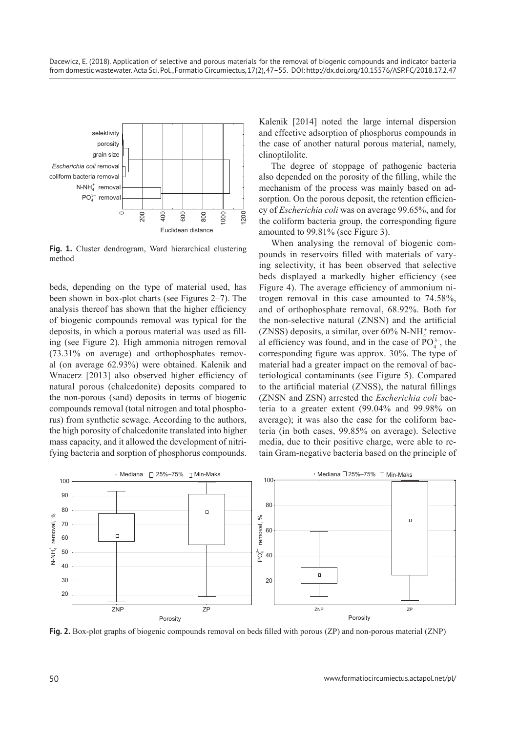

**Fig. 1.** Cluster dendrogram, Ward hierarchical clustering method

beds, depending on the type of material used, has been shown in box-plot charts (see Figures 2–7). The analysis thereof has shown that the higher efficiency of biogenic compounds removal was typical for the deposits, in which a porous material was used as filling (see Figure 2). High ammonia nitrogen removal (73.31% on average) and orthophosphates removal (on average 62.93%) were obtained. Kalenik and Wnacerz [2013] also observed higher efficiency of natural porous (chalcedonite) deposits compared to the non-porous (sand) deposits in terms of biogenic compounds removal (total nitrogen and total phosphorus) from synthetic sewage. According to the authors, the high porosity of chalcedonite translated into higher mass capacity, and it allowed the development of nitrifying bacteria and sorption of phosphorus compounds.

Kalenik [2014] noted the large internal dispersion and effective adsorption of phosphorus compounds in the case of another natural porous material, namely, clinoptilolite.

The degree of stoppage of pathogenic bacteria also depended on the porosity of the filling, while the mechanism of the process was mainly based on adsorption. On the porous deposit, the retention efficiency of *Escherichia coli* was on average 99.65%, and for the coliform bacteria group, the corresponding figure amounted to 99.81% (see Figure 3).

When analysing the removal of biogenic compounds in reservoirs filled with materials of varying selectivity, it has been observed that selective beds displayed a markedly higher efficiency (see Figure 4). The average efficiency of ammonium nitrogen removal in this case amounted to 74.58%, and of orthophosphate removal, 68.92%. Both for the non-selective natural (ZNSN) and the artificial  $(ZNSS)$  deposits, a similar, over 60% N-NH<sub>4</sub><sup>+</sup> removal efficiency was found, and in the case of  $PO_4^{3-}$ , the corresponding figure was approx. 30%. The type of material had a greater impact on the removal of bacteriological contaminants (see Figure 5). Compared to the artificial material (ZNSS), the natural fillings (ZNSN and ZSN) arrested the *Escherichia coli* bacteria to a greater extent (99.04% and 99.98% on average); it was also the case for the coliform bacteria (in both cases, 99.85% on average). Selective media, due to their positive charge, were able to retain Gram-negative bacteria based on the principle of



**Fig. 2.** Box-plot graphs of biogenic compounds removal on beds filled with porous (ZP) and non-porous material (ZNP)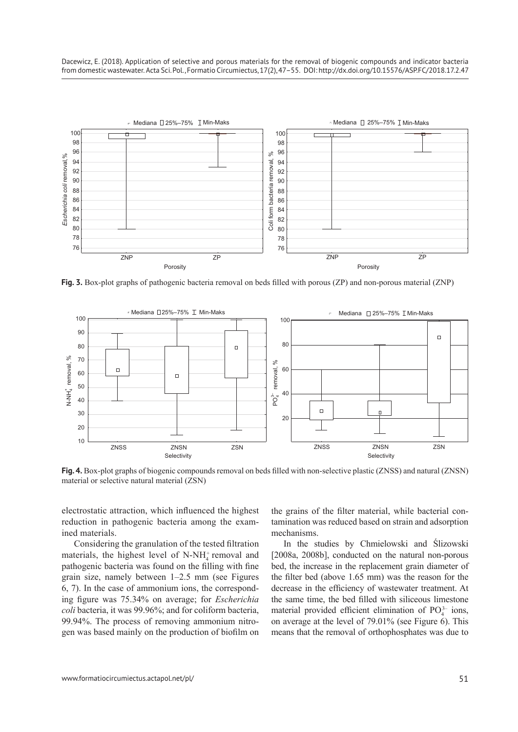

**Fig. 3.** Box-plot graphs of pathogenic bacteria removal on beds filled with porous (ZP) and non-porous material (ZNP)



**Fig. 4.** Box-plot graphs of biogenic compounds removal on beds filled with non-selective plastic (ZNSS) and natural (ZNSN) material or selective natural material (ZSN)

electrostatic attraction, which influenced the highest reduction in pathogenic bacteria among the examined materials.

Considering the granulation of the tested filtration materials, the highest level of  $N-NH_4^+$  removal and pathogenic bacteria was found on the filling with fine grain size, namely between 1–2.5 mm (see Figures 6, 7). In the case of ammonium ions, the corresponding figure was 75.34% on average; for *Escherichia coli* bacteria, it was 99.96%; and for coliform bacteria, 99.94%. The process of removing ammonium nitrogen was based mainly on the production of biofilm on

the grains of the filter material, while bacterial contamination was reduced based on strain and adsorption mechanisms.

In the studies by Chmielowski and Ślizowski [2008a, 2008b], conducted on the natural non-porous bed, the increase in the replacement grain diameter of the filter bed (above 1.65 mm) was the reason for the decrease in the efficiency of wastewater treatment. At the same time, the bed filled with siliceous limestone material provided efficient elimination of  $PO_4^{3-}$  ions, on average at the level of 79.01% (see Figure 6). This means that the removal of orthophosphates was due to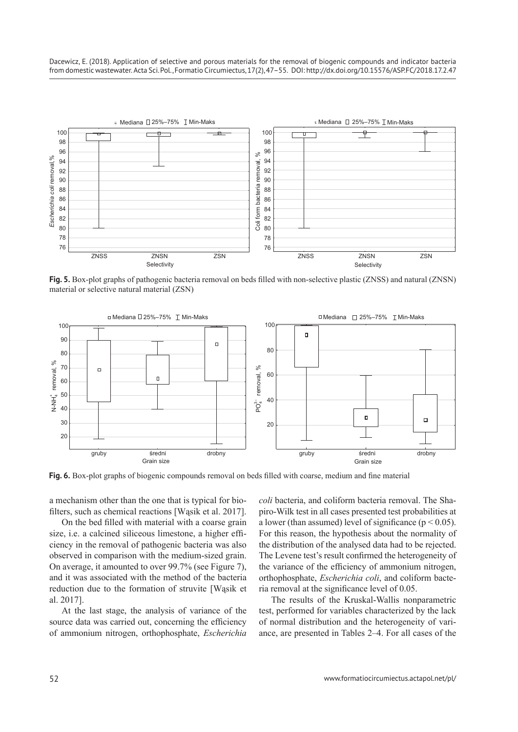Dacewicz, E. (2018). Application of selective and porous materials for the removal of biogenic compounds and indicator bacteria from domestic wastewater. Acta Sci. Pol., Formatio Circumiectus, 17(2), 47–55. DOI: http://dx.doi.org/10.15576/ASP.FC/2018.17.2.47



**Fig. 5.** Box-plot graphs of pathogenic bacteria removal on beds filled with non-selective plastic (ZNSS) and natural (ZNSN) material or selective natural material (ZSN)



**Fig. 6.** Box-plot graphs of biogenic compounds removal on beds filled with coarse, medium and fine material

a mechanism other than the one that is typical for biofilters, such as chemical reactions [Wąsik et al. 2017].

On the bed filled with material with a coarse grain size, i.e. a calcined siliceous limestone, a higher efficiency in the removal of pathogenic bacteria was also observed in comparison with the medium-sized grain. On average, it amounted to over 99.7% (see Figure 7), and it was associated with the method of the bacteria reduction due to the formation of struvite [Wąsik et al. 2017].

At the last stage, the analysis of variance of the source data was carried out, concerning the efficiency of ammonium nitrogen, orthophosphate, *Escherichia*  *coli* bacteria, and coliform bacteria removal. The Shapiro-Wilk test in all cases presented test probabilities at a lower (than assumed) level of significance ( $p < 0.05$ ). For this reason, the hypothesis about the normality of the distribution of the analysed data had to be rejected. The Levene test's result confirmed the heterogeneity of the variance of the efficiency of ammonium nitrogen, orthophosphate, *Escherichia coli*, and coliform bacteria removal at the significance level of 0.05.

The results of the Kruskal-Wallis nonparametric test, performed for variables characterized by the lack of normal distribution and the heterogeneity of variance, are presented in Tables 2–4. For all cases of the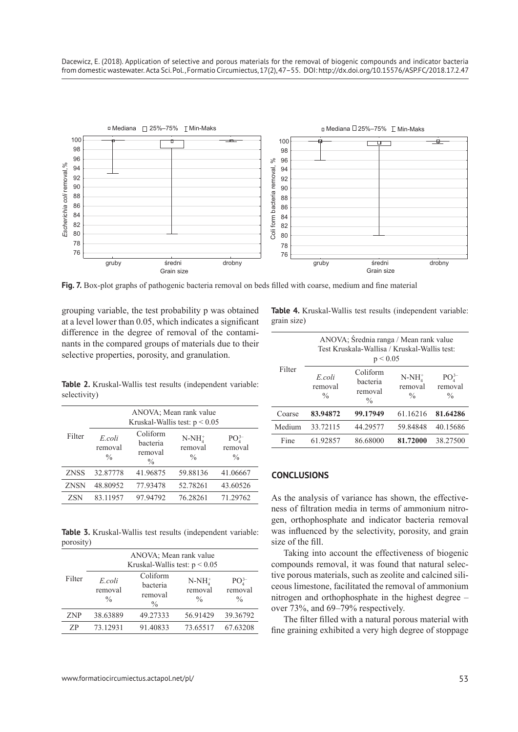

**Fig. 7.** Box-plot graphs of pathogenic bacteria removal on beds filled with coarse, medium and fine material

grouping variable, the test probability p was obtained at a level lower than 0.05, which indicates a significant difference in the degree of removal of the contaminants in the compared groups of materials due to their selective properties, porosity, and granulation.

**Table 4.** Kruskal-Wallis test results (independent variable: grain size)

| Filter | ANOVA; Średnia ranga / Mean rank value<br>Test Kruskala-Wallisa / Kruskal-Wallis test:<br>p < 0.05 |                                                  |                                     |                                                           |  |
|--------|----------------------------------------------------------------------------------------------------|--------------------------------------------------|-------------------------------------|-----------------------------------------------------------|--|
|        | E coli<br>removal<br>$\frac{0}{0}$                                                                 | Coliform<br>bacteria<br>removal<br>$\frac{0}{0}$ | $N-NH4$<br>removal<br>$\frac{0}{0}$ | PO <sub>4</sub> <sup>3–</sup><br>removal<br>$\frac{0}{0}$ |  |
| Coarse | 83.94872                                                                                           | 99.17949                                         | 61.16216                            | 81.64286                                                  |  |
| Medium | 33.72115                                                                                           | 44.29577                                         | 59.84848                            | 40.15686                                                  |  |
| Fine   | 61.92857                                                                                           | 86.68000                                         | 81.72000                            | 38.27500                                                  |  |

**Table 2.** Kruskal-Wallis test results (independent variable: selectivity)

|             | ANOVA: Mean rank value<br>Kruskal-Wallis test: $p < 0.05$ |                                                  |                                     |                                           |
|-------------|-----------------------------------------------------------|--------------------------------------------------|-------------------------------------|-------------------------------------------|
| Filter      | E coli<br>removal<br>$\frac{0}{0}$                        | Coliform<br>bacteria<br>removal<br>$\frac{0}{0}$ | $N-NH4$<br>removal<br>$\frac{0}{0}$ | $PO_{4}^{3-}$<br>removal<br>$\frac{0}{0}$ |
| <b>ZNSS</b> | 32.87778                                                  | 41.96875                                         | 59.88136                            | 41.06667                                  |
| <b>ZNSN</b> | 48.80952                                                  | 77.93478                                         | 52.78261                            | 43.60526                                  |
| <b>ZSN</b>  | 83.11957                                                  | 97.94792                                         | 76.28261                            | 71.29762                                  |

**Table 3.** Kruskal-Wallis test results (independent variable: porosity)

|            | ANOVA; Mean rank value<br>Kruskal-Wallis test: $p < 0.05$ |                                                  |                                     |                                     |  |
|------------|-----------------------------------------------------------|--------------------------------------------------|-------------------------------------|-------------------------------------|--|
| Filter     | E.coli<br>removal<br>$\frac{0}{0}$                        | Coliform<br>bacteria<br>removal<br>$\frac{0}{0}$ | $N-NH4$<br>removal<br>$\frac{0}{0}$ | $PO43-$<br>removal<br>$\frac{0}{0}$ |  |
| <b>ZNP</b> | 38.63889                                                  | 49.27333                                         | 56.91429                            | 39.36792                            |  |
| ΖP         | 73.12931                                                  | 91.40833                                         | 73.65517                            | 67.63208                            |  |

# **CONCLUSIONS**

As the analysis of variance has shown, the effectiveness of filtration media in terms of ammonium nitrogen, orthophosphate and indicator bacteria removal was influenced by the selectivity, porosity, and grain size of the fill.

Taking into account the effectiveness of biogenic compounds removal, it was found that natural selective porous materials, such as zeolite and calcined siliceous limestone, facilitated the removal of ammonium nitrogen and orthophosphate in the highest degree – over 73%, and 69–79% respectively.

The filter filled with a natural porous material with fine graining exhibited a very high degree of stoppage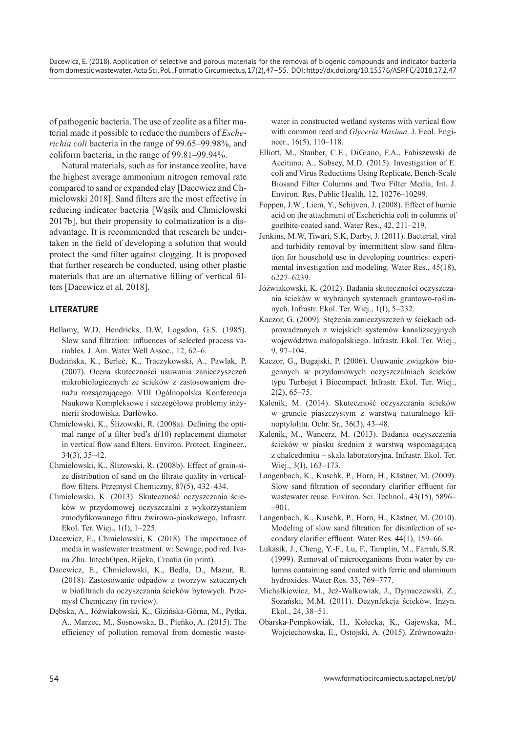of pathogenic bacteria. The use of zeolite as a filter material made it possible to reduce the numbers of *Escherichia coli* bacteria in the range of 99.65–99.98%, and coliform bacteria, in the range of 99.81–99.94%.

Natural materials, such as for instance zeolite, have the highest average ammonium nitrogen removal rate compared to sand or expanded clay [Dacewicz and Chmielowski 2018]. Sand filters are the most effective in reducing indicator bacteria [Wąsik and Chmielowski 2017b], but their propensity to colmatization is a disadvantage. It is recommended that research be undertaken in the field of developing a solution that would protect the sand filter against clogging. It is proposed that further research be conducted, using other plastic materials that are an alternative filling of vertical filters [Dacewicz et al. 2018].

## **LITERATURE**

- Bellamy, W.D, Hendricks, D.W, Logsdon, G.S. (1985). Slow sand filtration: influences of selected process variables. J. Am. Water Well Assoc., 12, 62–6.
- Budzińska, K., Berleć, K., Traczykowski, A., Pawlak, P. (2007). Ocena skuteczności usuwania zanieczyszczeń mikrobiologicznych ze ścieków z zastosowaniem drenażu rozsączającego. VIII Ogólnopolska Konferencja Naukowa Kompleksowe i szczegółowe problemy inżynierii środowiska. Darłówko.
- Chmielowski, K., Ślizowski, R. (2008a). Defining the optimal range of a filter bed's d(10) replacement diameter in vertical flow sand filters. Environ. Protect. Engineer., 34(3), 35–42.
- Chmielowski, K., Ślizowski, R. (2008b). Effect of grain-size distribution of sand on the filtrate quality in verticalflow filters. Przemysł Chemiczny, 87(5), 432–434.
- Chmielowski, K. (2013). Skuteczność oczyszczania ścieków w przydomowej oczyszczalni z wykorzystaniem zmodyfikowanego filtru żwirowo-piaskowego, Infrastr. Ekol. Ter. Wiej., 1(I), 1–225.
- Dacewicz, E., Chmielowski, K. (2018). The importance of media in wastewater treatment. w: Sewage, pod red. Ivana Zhu. IntechOpen, Rijeka, Croatia (in print).
- Dacewicz, E., Chmielowski, K., Bedla, D., Mazur, R. (2018). Zastosowanie odpadów z tworzyw sztucznych w biofiltrach do oczyszczania ścieków bytowych. Przemysł Chemiczny (in review).
- Dębska, A., Jóźwiakowski, K., Gizińska-Górna, M., Pytka, A., Marzec, M., Sosnowska, B., Pieńko, A. (2015). The efficiency of pollution removal from domestic waste-

water in constructed wetland systems with vertical flow with common reed and *Glyceria Maxima*. J. Ecol. Engineer., 16(5), 110–118.

- Elliott, M., Stauber, C.E., DiGiano, F.A., Fabiszewski de Aceituno, A., Sobsey, M.D. (2015). Investigation of E. coli and Virus Reductions Using Replicate, Bench-Scale Biosand Filter Columns and Two Filter Media, Int. J. Environ. Res. Public Health, 12, 10276–10299.
- Foppen, J.W., Liem, Y., Schijven, J. (2008). Effect of humic acid on the attachment of Escherichia coli in columns of goethite-coated sand. Water Res., 42, 211–219.
- Jenkins, M.W, Tiwari, S.K, Darby, J. (2011). Bacterial, viral and turbidity removal by intermittent slow sand filtration for household use in developing countries: experimental investigation and modeling. Water Res., 45(18), 6227–6239.
- Jóźwiakowski, K. (2012). Badania skuteczności oczyszczania ścieków w wybranych systemach gruntowo-roślinnych. Infrastr. Ekol. Ter. Wiej., 1(I), 5–232.
- Kaczor, G. (2009). Stężenia zanieczyszczeń w ściekach odprowadzanych z wiejskich systemów kanalizacyjnych województwa małopolskiego. Infrastr. Ekol. Ter. Wiej., 9, 97–104.
- Kaczor, G., Bugajski, P. (2006). Usuwanie związków biogennych w przydomowych oczyszczalniach ścieków typu Turbojet i Biocompact. Infrastr. Ekol. Ter. Wiej.,  $2(2)$ , 65–75.
- Kalenik, M. (2014). Skuteczność oczyszczania ścieków w gruncie piaszczystym z warstwą naturalnego klinoptylolitu. Ochr. Sr., 36(3), 43–48.
- Kalenik, M., Wancerz, M. (2013). Badania oczyszczania ścieków w piasku średnim z warstwą wspomagającą z chalcedonitu – skala laboratoryjna. Infrastr. Ekol. Ter. Wiej., 3(I), 163-173.
- Langenbach, K., Kuschk, P., Horn, H., Kästner, M. (2009). Slow sand filtration of secondary clarifier effluent for wastewater reuse. Environ. Sci. Technol., 43(15), 5896– –901.
- Langenbach, K., Kuschk, P., Horn, H., Kästner, M. (2010). Modeling of slow sand filtration for disinfection of secondary clarifier effluent. Water Res. 44(1), 159–66.
- Lukasik, J., Cheng, Y.-F., Lu, F., Tamplin, M., Farrah, S.R. (1999). Removal of microorganisms from water by columns containing sand coated with ferric and aluminum hydroxides. Water Res. 33, 769–777.
- Michałkiewicz, M., Jeż-Walkowiak, J., Dymaczewski, Z., Sozański, M.M. (2011). Dezynfekcja ścieków. Inżyn. Ekol., 24, 38–51.
- Obarska-Pempkowiak, H., Kołecka, K., Gajewska, M., Wojciechowska, E., Ostojski, A. (2015). Zrównoważo-